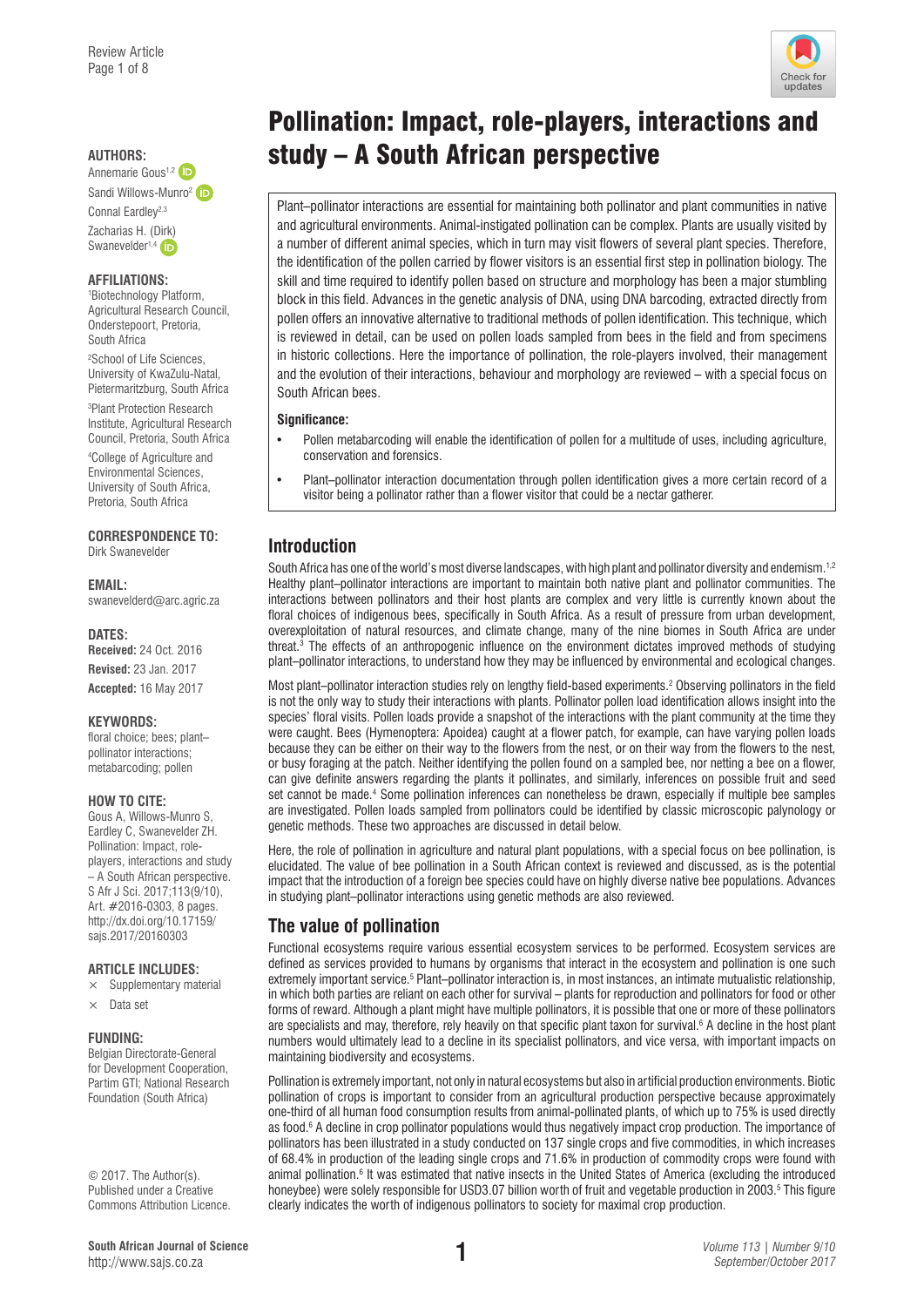Sandi Willows-Munro<sup>[2](http://orcid.org/0000-0003-0572-369X)</sup> (iD Connal Eardley<sup>2,3</sup> Zacharias H. ([Dirk\)](http://orcid.org/0000-0002-8865-9154) 

Swanevelder<sup>1,4</sup> iD

#### **AFFILIATIONS:**

1 Biotechnology Platform, Agricultural Research Council, Onderstepoort, Pretoria, South Africa

2 School of Life Sciences, University of KwaZulu-Natal, Pietermaritzburg, South Africa

3 Plant Protection Research Institute, Agricultural Research Council, Pretoria, South Africa 4 College of Agriculture and Environmental Sciences, University of South Africa, Pretoria, South Africa

**CORRESPONDENCE TO:**  Dirk Swanevelder

#### **EMAIL:**

[swanevelderd@arc.agric.za](mailto:swanevelderd@arc.agric.za)

#### **DATES:**

**Received:** 24 Oct. 2016 **Revised:** 23 Jan. 2017 **Accepted:** 16 May 2017

#### **KEYWORDS:**

floral choice; bees; plant– pollinator interactions; metabarcoding; pollen

#### **HOW TO CITE:**

Gous A, Willows-Munro S, Eardley C, Swanevelder ZH. Pollination: Impact, roleplayers, interactions and study – A South African perspective. S Afr J Sci. 2017;113(9/10), Art. #2016-0303, 8 pages. [http://dx.doi.org/10.17159/](http://dx.doi.org/10.17159/sajs.2017/20160303) [sajs.2017/20160303](http://dx.doi.org/10.17159/sajs.2017/20160303)

#### **ARTICLE INCLUDES:**

 $\times$  Supplementary material

 $\times$  Data set

#### **FUNDING:**

Belgian Directorate-General for Development Cooperation Partim GTI; National Research Foundation (South Africa)

© 2017. The Author(s). Published under a Creative Commons Attribution Licence.

# Pollination: Impact, role-players, interactions and AUTHORS: **Study – A South African perspective** Annemarie Gous<sup>1,2</sup>

Plant–pollinator interactions are essential for maintaining both pollinator and plant communities in native and agricultural environments. Animal-instigated pollination can be complex. Plants are usually visited by a number of different animal species, which in turn may visit flowers of several plant species. Therefore, the identification of the pollen carried by flower visitors is an essential first step in pollination biology. The skill and time required to identify pollen based on structure and morphology has been a major stumbling block in this field. Advances in the genetic analysis of DNA, using DNA barcoding, extracted directly from pollen offers an innovative alternative to traditional methods of pollen identification. This technique, which is reviewed in detail, can be used on pollen loads sampled from bees in the field and from specimens in historic collections. Here the importance of pollination, the role-players involved, their management and the evolution of their interactions, behaviour and morphology are reviewed – with a special focus on South African bees.

#### **Significance:**

- Pollen metabarcoding will enable the identification of pollen for a multitude of uses, including agriculture, conservation and forensics.
- Plant–pollinator interaction documentation through pollen identification gives a more certain record of a visitor being a pollinator rather than a flower visitor that could be a nectar gatherer.

# **Introduction**

South Africa has one of the world's most diverse landscapes, with high plant and pollinator diversity and endemism.<sup>1,2</sup> Healthy plant–pollinator interactions are important to maintain both native plant and pollinator communities. The interactions between pollinators and their host plants are complex and very little is currently known about the floral choices of indigenous bees, specifically in South Africa. As a result of pressure from urban development, overexploitation of natural resources, and climate change, many of the nine biomes in South Africa are under threat.<sup>3</sup> The effects of an anthropogenic influence on the environment dictates improved methods of studying plant–pollinator interactions, to understand how they may be influenced by environmental and ecological changes.

Most plant–pollinator interaction studies rely on lengthy field-based experiments.<sup>2</sup> Observing pollinators in the field is not the only way to study their interactions with plants. Pollinator pollen load identification allows insight into the species' floral visits. Pollen loads provide a snapshot of the interactions with the plant community at the time they were caught. Bees (Hymenoptera: Apoidea) caught at a flower patch, for example, can have varying pollen loads because they can be either on their way to the flowers from the nest, or on their way from the flowers to the nest, or busy foraging at the patch. Neither identifying the pollen found on a sampled bee, nor netting a bee on a flower, can give definite answers regarding the plants it pollinates, and similarly, inferences on possible fruit and seed set cannot be made.<sup>4</sup> Some pollination inferences can nonetheless be drawn, especially if multiple bee samples are investigated. Pollen loads sampled from pollinators could be identified by classic microscopic palynology or genetic methods. These two approaches are discussed in detail below.

Here, the role of pollination in agriculture and natural plant populations, with a special focus on bee pollination, is elucidated. The value of bee pollination in a South African context is reviewed and discussed, as is the potential impact that the introduction of a foreign bee species could have on highly diverse native bee populations. Advances in studying plant–pollinator interactions using genetic methods are also reviewed.

# **The value of pollination**

Functional ecosystems require various essential ecosystem services to be performed. Ecosystem services are defined as services provided to humans by organisms that interact in the ecosystem and pollination is one such extremely important service.<sup>5</sup> Plant–pollinator interaction is, in most instances, an intimate mutualistic relationship, in which both parties are reliant on each other for survival – plants for reproduction and pollinators for food or other forms of reward. Although a plant might have multiple pollinators, it is possible that one or more of these pollinators are specialists and may, therefore, rely heavily on that specific plant taxon for survival.<sup>6</sup> A decline in the host plant numbers would ultimately lead to a decline in its specialist pollinators, and vice versa, with important impacts on maintaining biodiversity and ecosystems.

Pollination is extremely important, not only in natural ecosystems but also in artificial production environments. Biotic pollination of crops is important to consider from an agricultural production perspective because approximately one-third of all human food consumption results from animal-pollinated plants, of which up to 75% is used directly as food.<sup>6</sup> A decline in crop pollinator populations would thus negatively impact crop production. The importance of pollinators has been illustrated in a study conducted on 137 single crops and five commodities, in which increases of 68.4% in production of the leading single crops and 71.6% in production of commodity crops were found with animal pollination.<sup>6</sup> It was estimated that native insects in the United States of America (excluding the introduced honeybee) were solely responsible for USD3.07 billion worth of fruit and vegetable production in 2003.<sup>5</sup> This figure clearly indicates the worth of indigenous pollinators to society for maximal crop production.

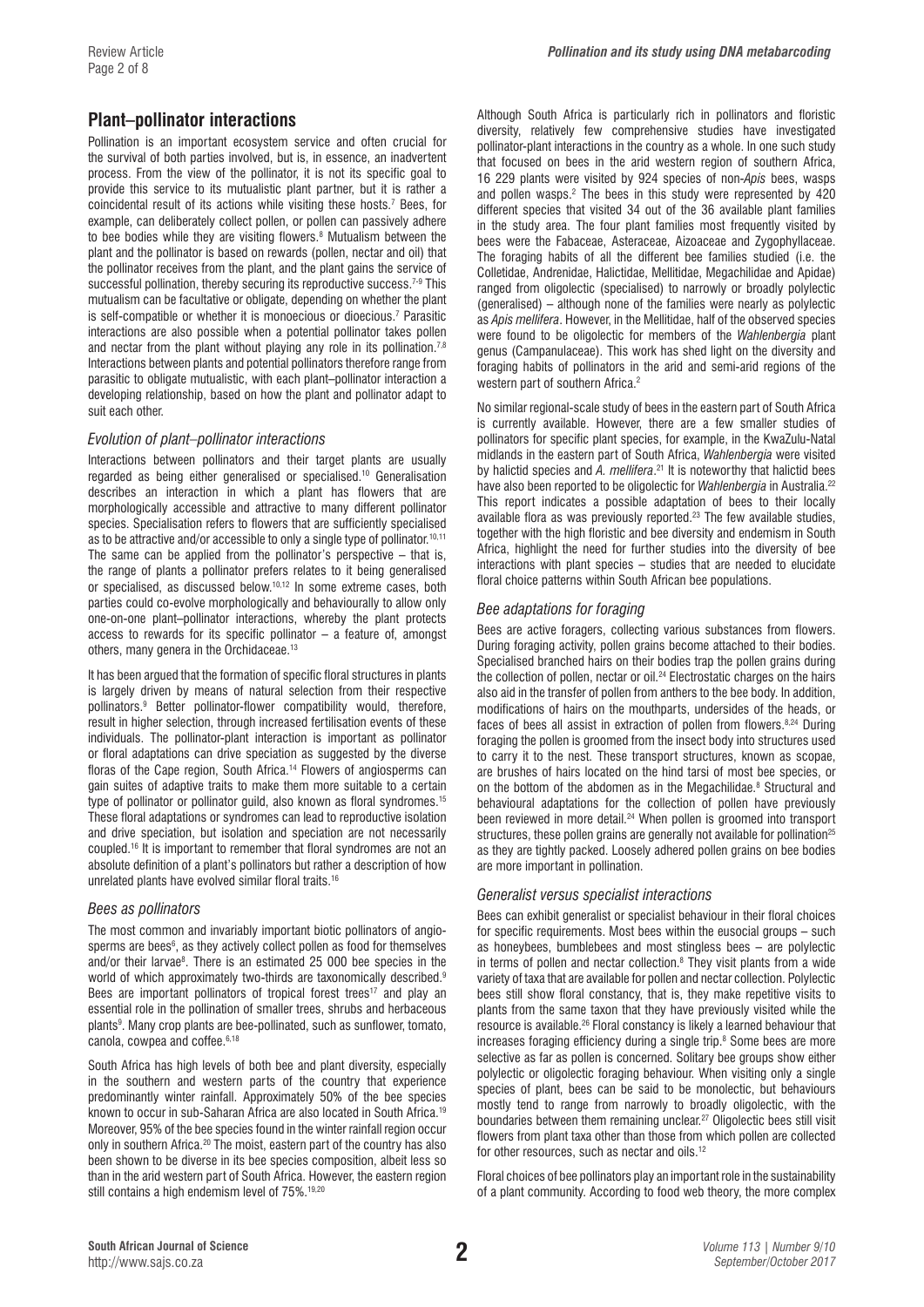# **Plant–pollinator interactions**

Pollination is an important ecosystem service and often crucial for the survival of both parties involved, but is, in essence, an inadvertent process. From the view of the pollinator, it is not its specific goal to provide this service to its mutualistic plant partner, but it is rather a coincidental result of its actions while visiting these hosts.7 Bees, for example, can deliberately collect pollen, or pollen can passively adhere to bee bodies while they are visiting flowers.8 Mutualism between the plant and the pollinator is based on rewards (pollen, nectar and oil) that the pollinator receives from the plant, and the plant gains the service of successful pollination, thereby securing its reproductive success.<sup>7-9</sup> This mutualism can be facultative or obligate, depending on whether the plant is self-compatible or whether it is monoecious or dioecious.7 Parasitic interactions are also possible when a potential pollinator takes pollen and nectar from the plant without playing any role in its pollination.<sup>7,8</sup> Interactions between plants and potential pollinators therefore range from parasitic to obligate mutualistic, with each plant–pollinator interaction a developing relationship, based on how the plant and pollinator adapt to suit each other.

#### *Evolution of plant–pollinator interactions*

Interactions between pollinators and their target plants are usually regarded as being either generalised or specialised.10 Generalisation describes an interaction in which a plant has flowers that are morphologically accessible and attractive to many different pollinator species. Specialisation refers to flowers that are sufficiently specialised as to be attractive and/or accessible to only a single type of pollinator.10,11 The same can be applied from the pollinator's perspective – that is, the range of plants a pollinator prefers relates to it being generalised or specialised, as discussed below.<sup>10,12</sup> In some extreme cases, both parties could co-evolve morphologically and behaviourally to allow only one-on-one plant–pollinator interactions, whereby the plant protects access to rewards for its specific pollinator – a feature of, amongst others, many genera in the Orchidaceae.13

It has been argued that the formation of specific floral structures in plants is largely driven by means of natural selection from their respective pollinators.9 Better pollinator-flower compatibility would, therefore, result in higher selection, through increased fertilisation events of these individuals. The pollinator-plant interaction is important as pollinator or floral adaptations can drive speciation as suggested by the diverse floras of the Cape region, South Africa.14 Flowers of angiosperms can gain suites of adaptive traits to make them more suitable to a certain type of pollinator or pollinator guild, also known as floral syndromes.15 These floral adaptations or syndromes can lead to reproductive isolation and drive speciation, but isolation and speciation are not necessarily coupled.16 It is important to remember that floral syndromes are not an absolute definition of a plant's pollinators but rather a description of how unrelated plants have evolved similar floral traits.<sup>16</sup>

#### *Bees as pollinators*

The most common and invariably important biotic pollinators of angiosperms are bees<sup>6</sup>, as they actively collect pollen as food for themselves and/or their larvae8 . There is an estimated 25 000 bee species in the world of which approximately two-thirds are taxonomically described.<sup>9</sup> Bees are important pollinators of tropical forest trees<sup>17</sup> and play an essential role in the pollination of smaller trees, shrubs and herbaceous plants<sup>9</sup>. Many crop plants are bee-pollinated, such as sunflower, tomato, canola, cowpea and coffee.<sup>6,18</sup>

South Africa has high levels of both bee and plant diversity, especially in the southern and western parts of the country that experience predominantly winter rainfall. Approximately 50% of the bee species known to occur in sub-Saharan Africa are also located in South Africa.19 Moreover, 95% of the bee species found in the winter rainfall region occur only in southern Africa.20 The moist, eastern part of the country has also been shown to be diverse in its bee species composition, albeit less so than in the arid western part of South Africa. However, the eastern region still contains a high endemism level of 75%.<sup>19,20</sup>

Although South Africa is particularly rich in pollinators and floristic diversity, relatively few comprehensive studies have investigated pollinator-plant interactions in the country as a whole. In one such study that focused on bees in the arid western region of southern Africa, 16 229 plants were visited by 924 species of non-*Apis* bees, wasps and pollen wasps.<sup>2</sup> The bees in this study were represented by 420 different species that visited 34 out of the 36 available plant families in the study area. The four plant families most frequently visited by bees were the Fabaceae, Asteraceae, Aizoaceae and Zygophyllaceae. The foraging habits of all the different bee families studied (i.e. the Colletidae, Andrenidae, Halictidae, Mellitidae, Megachilidae and Apidae) ranged from oligolectic (specialised) to narrowly or broadly polylectic (generalised) – although none of the families were nearly as polylectic as *Apis mellifera*. However, in the Mellitidae, half of the observed species were found to be oligolectic for members of the *Wahlenbergia* plant genus (Campanulaceae). This work has shed light on the diversity and foraging habits of pollinators in the arid and semi-arid regions of the western part of southern Africa.<sup>2</sup>

No similar regional-scale study of bees in the eastern part of South Africa is currently available. However, there are a few smaller studies of pollinators for specific plant species, for example, in the KwaZulu-Natal midlands in the eastern part of South Africa, *Wahlenbergia* were visited by halictid species and *A. mellifera*. 21 It is noteworthy that halictid bees have also been reported to be oligolectic for *Wahlenbergia* in Australia.22 This report indicates a possible adaptation of bees to their locally available flora as was previously reported.<sup>23</sup> The few available studies, together with the high floristic and bee diversity and endemism in South Africa, highlight the need for further studies into the diversity of bee interactions with plant species – studies that are needed to elucidate floral choice patterns within South African bee populations.

### *Bee adaptations for foraging*

Bees are active foragers, collecting various substances from flowers. During foraging activity, pollen grains become attached to their bodies. Specialised branched hairs on their bodies trap the pollen grains during the collection of pollen, nectar or oil.<sup>24</sup> Electrostatic charges on the hairs also aid in the transfer of pollen from anthers to the bee body. In addition, modifications of hairs on the mouthparts, undersides of the heads, or faces of bees all assist in extraction of pollen from flowers.<sup>8,24</sup> During foraging the pollen is groomed from the insect body into structures used to carry it to the nest. These transport structures, known as scopae, are brushes of hairs located on the hind tarsi of most bee species, or on the bottom of the abdomen as in the Megachilidae.<sup>8</sup> Structural and behavioural adaptations for the collection of pollen have previously been reviewed in more detail.<sup>24</sup> When pollen is groomed into transport structures, these pollen grains are generally not available for pollination<sup>25</sup> as they are tightly packed. Loosely adhered pollen grains on bee bodies are more important in pollination.

#### *Generalist versus specialist interactions*

Bees can exhibit generalist or specialist behaviour in their floral choices for specific requirements. Most bees within the eusocial groups – such as honeybees, bumblebees and most stingless bees – are polylectic in terms of pollen and nectar collection. $8$  They visit plants from a wide variety of taxa that are available for pollen and nectar collection. Polylectic bees still show floral constancy, that is, they make repetitive visits to plants from the same taxon that they have previously visited while the resource is available.26 Floral constancy is likely a learned behaviour that increases foraging efficiency during a single trip.8 Some bees are more selective as far as pollen is concerned. Solitary bee groups show either polylectic or oligolectic foraging behaviour. When visiting only a single species of plant, bees can be said to be monolectic, but behaviours mostly tend to range from narrowly to broadly oligolectic, with the boundaries between them remaining unclear.<sup>27</sup> Oligolectic bees still visit flowers from plant taxa other than those from which pollen are collected for other resources, such as nectar and oils.<sup>12</sup>

Floral choices of bee pollinators play an important role in the sustainability of a plant community. According to food web theory, the more complex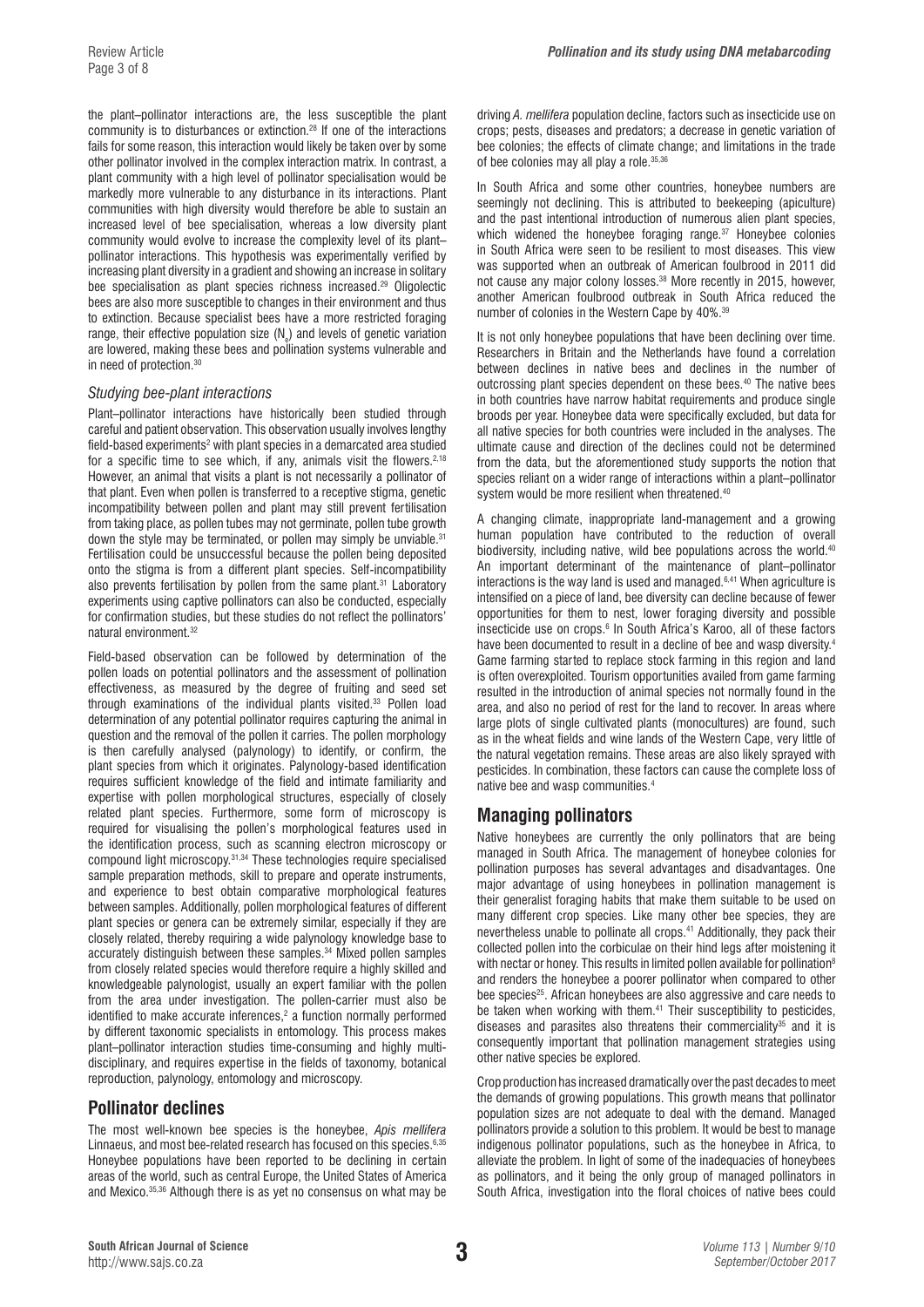the plant–pollinator interactions are, the less susceptible the plant community is to disturbances or extinction.28 If one of the interactions fails for some reason, this interaction would likely be taken over by some other pollinator involved in the complex interaction matrix. In contrast, a plant community with a high level of pollinator specialisation would be markedly more vulnerable to any disturbance in its interactions. Plant communities with high diversity would therefore be able to sustain an increased level of bee specialisation, whereas a low diversity plant community would evolve to increase the complexity level of its plant– pollinator interactions. This hypothesis was experimentally verified by increasing plant diversity in a gradient and showing an increase in solitary bee specialisation as plant species richness increased.<sup>29</sup> Oligolectic bees are also more susceptible to changes in their environment and thus to extinction. Because specialist bees have a more restricted foraging range, their effective population size  $(\mathsf{N}_\mathrm{e})$  and levels of genetic variation are lowered, making these bees and pollination systems vulnerable and in need of protection.30

#### *Studying bee-plant interactions*

Plant–pollinator interactions have historically been studied through careful and patient observation. This observation usually involves lengthy field-based experiments<sup>2</sup> with plant species in a demarcated area studied for a specific time to see which, if any, animals visit the flowers.<sup>2,18</sup> However, an animal that visits a plant is not necessarily a pollinator of that plant. Even when pollen is transferred to a receptive stigma, genetic incompatibility between pollen and plant may still prevent fertilisation from taking place, as pollen tubes may not germinate, pollen tube growth down the style may be terminated, or pollen may simply be unviable.<sup>31</sup> Fertilisation could be unsuccessful because the pollen being deposited onto the stigma is from a different plant species. Self-incompatibility also prevents fertilisation by pollen from the same plant.<sup>31</sup> Laboratory experiments using captive pollinators can also be conducted, especially for confirmation studies, but these studies do not reflect the pollinators' natural environment.32

Field-based observation can be followed by determination of the pollen loads on potential pollinators and the assessment of pollination effectiveness, as measured by the degree of fruiting and seed set through examinations of the individual plants visited.33 Pollen load determination of any potential pollinator requires capturing the animal in question and the removal of the pollen it carries. The pollen morphology is then carefully analysed (palynology) to identify, or confirm, the plant species from which it originates. Palynology-based identification requires sufficient knowledge of the field and intimate familiarity and expertise with pollen morphological structures, especially of closely related plant species. Furthermore, some form of microscopy is required for visualising the pollen's morphological features used in the identification process, such as scanning electron microscopy or compound light microscopy.31,34 These technologies require specialised sample preparation methods, skill to prepare and operate instruments, and experience to best obtain comparative morphological features between samples. Additionally, pollen morphological features of different plant species or genera can be extremely similar, especially if they are closely related, thereby requiring a wide palynology knowledge base to accurately distinguish between these samples.<sup>34</sup> Mixed pollen samples from closely related species would therefore require a highly skilled and knowledgeable palynologist, usually an expert familiar with the pollen from the area under investigation. The pollen-carrier must also be identified to make accurate inferences,<sup>2</sup> a function normally performed by different taxonomic specialists in entomology. This process makes plant–pollinator interaction studies time-consuming and highly multidisciplinary, and requires expertise in the fields of taxonomy, botanical reproduction, palynology, entomology and microscopy.

# **Pollinator declines**

The most well-known bee species is the honeybee, *Apis mellifera* Linnaeus, and most bee-related research has focused on this species.<sup>6,35</sup> Honeybee populations have been reported to be declining in certain areas of the world, such as central Europe, the United States of America and Mexico.35,36 Although there is as yet no consensus on what may be

driving *A. mellifera* population decline, factors such as insecticide use on crops; pests, diseases and predators; a decrease in genetic variation of bee colonies; the effects of climate change; and limitations in the trade of bee colonies may all play a role.35,36

In South Africa and some other countries, honeybee numbers are seemingly not declining. This is attributed to beekeeping (apiculture) and the past intentional introduction of numerous alien plant species, which widened the honeybee foraging range.<sup>37</sup> Honeybee colonies in South Africa were seen to be resilient to most diseases. This view was supported when an outbreak of American foulbrood in 2011 did not cause any major colony losses.38 More recently in 2015, however, another American foulbrood outbreak in South Africa reduced the number of colonies in the Western Cape by 40%.39

It is not only honeybee populations that have been declining over time. Researchers in Britain and the Netherlands have found a correlation between declines in native bees and declines in the number of outcrossing plant species dependent on these bees.<sup>40</sup> The native bees in both countries have narrow habitat requirements and produce single broods per year. Honeybee data were specifically excluded, but data for all native species for both countries were included in the analyses. The ultimate cause and direction of the declines could not be determined from the data, but the aforementioned study supports the notion that species reliant on a wider range of interactions within a plant–pollinator system would be more resilient when threatened.<sup>40</sup>

A changing climate, inappropriate land-management and a growing human population have contributed to the reduction of overall biodiversity, including native, wild bee populations across the world.<sup>40</sup> An important determinant of the maintenance of plant–pollinator interactions is the way land is used and managed.6,41 When agriculture is intensified on a piece of land, bee diversity can decline because of fewer opportunities for them to nest, lower foraging diversity and possible insecticide use on crops.<sup>6</sup> In South Africa's Karoo, all of these factors have been documented to result in a decline of bee and wasp diversity.<sup>4</sup> Game farming started to replace stock farming in this region and land is often overexploited. Tourism opportunities availed from game farming resulted in the introduction of animal species not normally found in the area, and also no period of rest for the land to recover. In areas where large plots of single cultivated plants (monocultures) are found, such as in the wheat fields and wine lands of the Western Cape, very little of the natural vegetation remains. These areas are also likely sprayed with pesticides. In combination, these factors can cause the complete loss of native bee and wasp communities.4

# **Managing pollinators**

Native honeybees are currently the only pollinators that are being managed in South Africa. The management of honeybee colonies for pollination purposes has several advantages and disadvantages. One major advantage of using honeybees in pollination management is their generalist foraging habits that make them suitable to be used on many different crop species. Like many other bee species, they are nevertheless unable to pollinate all crops.<sup>41</sup> Additionally, they pack their collected pollen into the corbiculae on their hind legs after moistening it with nectar or honey. This results in limited pollen available for pollination<sup>8</sup> and renders the honeybee a poorer pollinator when compared to other bee species<sup>25</sup>. African honeybees are also aggressive and care needs to be taken when working with them.<sup>41</sup> Their susceptibility to pesticides, diseases and parasites also threatens their commerciality $35$  and it is consequently important that pollination management strategies using other native species be explored.

Crop production has increased dramatically over the past decades to meet the demands of growing populations. This growth means that pollinator population sizes are not adequate to deal with the demand. Managed pollinators provide a solution to this problem. It would be best to manage indigenous pollinator populations, such as the honeybee in Africa, to alleviate the problem. In light of some of the inadequacies of honeybees as pollinators, and it being the only group of managed pollinators in South Africa, investigation into the floral choices of native bees could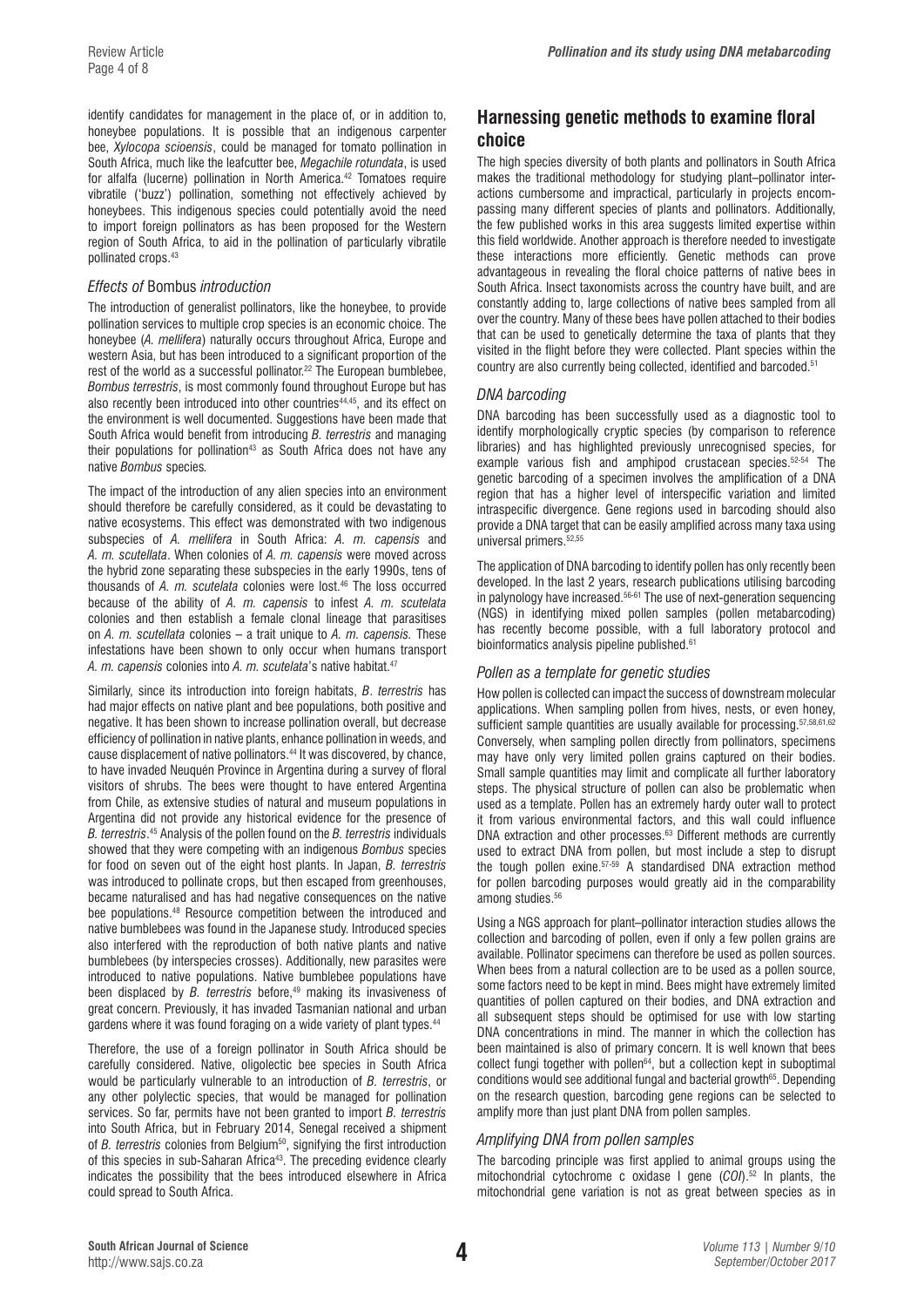identify candidates for management in the place of, or in addition to, honeybee populations. It is possible that an indigenous carpenter bee, *Xylocopa scioensis*, could be managed for tomato pollination in South Africa, much like the leafcutter bee, *Megachile rotundata*, is used for alfalfa (lucerne) pollination in North America.42 Tomatoes require vibratile ('buzz') pollination, something not effectively achieved by honeybees. This indigenous species could potentially avoid the need to import foreign pollinators as has been proposed for the Western region of South Africa, to aid in the pollination of particularly vibratile pollinated crops.<sup>43</sup>

#### *Effects of* Bombus *introduction*

The introduction of generalist pollinators, like the honeybee, to provide pollination services to multiple crop species is an economic choice. The honeybee (*A. mellifera*) naturally occurs throughout Africa, Europe and western Asia, but has been introduced to a significant proportion of the rest of the world as a successful pollinator.<sup>22</sup> The European bumblebee, *Bombus terrestris*, is most commonly found throughout Europe but has also recently been introduced into other countries<sup>44,45</sup>, and its effect on the environment is well documented. Suggestions have been made that South Africa would benefit from introducing *B. terrestris* and managing their populations for pollination $43$  as South Africa does not have any native *Bombus* species*.*

The impact of the introduction of any alien species into an environment should therefore be carefully considered, as it could be devastating to native ecosystems. This effect was demonstrated with two indigenous subspecies of *A. mellifera* in South Africa: *A. m. capensis* and *A. m. scutellata*. When colonies of *A. m. capensis* were moved across the hybrid zone separating these subspecies in the early 1990s, tens of thousands of *A. m. scutelata* colonies were lost.46 The loss occurred because of the ability of *A. m. capensis* to infest *A. m. scutelata*  colonies and then establish a female clonal lineage that parasitises on *A. m. scutellata* colonies – a trait unique to *A. m. capensis.* These infestations have been shown to only occur when humans transport *A. m. capensis* colonies into *A. m. scutelata*'s native habitat.47

Similarly, since its introduction into foreign habitats, *B*. *terrestris* has had major effects on native plant and bee populations, both positive and negative. It has been shown to increase pollination overall, but decrease efficiency of pollination in native plants, enhance pollination in weeds, and cause displacement of native pollinators.<sup>44</sup> It was discovered, by chance, to have invaded Neuquén Province in Argentina during a survey of floral visitors of shrubs. The bees were thought to have entered Argentina from Chile, as extensive studies of natural and museum populations in Argentina did not provide any historical evidence for the presence of *B. terrestris*. 45 Analysis of the pollen found on the *B. terrestris* individuals showed that they were competing with an indigenous *Bombus* species for food on seven out of the eight host plants. In Japan, *B. terrestris* was introduced to pollinate crops, but then escaped from greenhouses, became naturalised and has had negative consequences on the native bee populations.48 Resource competition between the introduced and native bumblebees was found in the Japanese study. Introduced species also interfered with the reproduction of both native plants and native bumblebees (by interspecies crosses). Additionally, new parasites were introduced to native populations. Native bumblebee populations have been displaced by *B. terrestris* before,<sup>49</sup> making its invasiveness of great concern. Previously, it has invaded Tasmanian national and urban gardens where it was found foraging on a wide variety of plant types.<sup>44</sup>

Therefore, the use of a foreign pollinator in South Africa should be carefully considered. Native, oligolectic bee species in South Africa would be particularly vulnerable to an introduction of *B. terrestris*, or any other polylectic species, that would be managed for pollination services. So far, permits have not been granted to import *B. terrestris* into South Africa, but in February 2014, Senegal received a shipment of *B. terrestris* colonies from Belgium<sup>50</sup>, signifying the first introduction of this species in sub-Saharan Africa<sup>43</sup>. The preceding evidence clearly indicates the possibility that the bees introduced elsewhere in Africa could spread to South Africa.

# **Harnessing genetic methods to examine floral choice**

The high species diversity of both plants and pollinators in South Africa makes the traditional methodology for studying plant–pollinator interactions cumbersome and impractical, particularly in projects encompassing many different species of plants and pollinators. Additionally, the few published works in this area suggests limited expertise within this field worldwide. Another approach is therefore needed to investigate these interactions more efficiently. Genetic methods can prove advantageous in revealing the floral choice patterns of native bees in South Africa. Insect taxonomists across the country have built, and are constantly adding to, large collections of native bees sampled from all over the country. Many of these bees have pollen attached to their bodies that can be used to genetically determine the taxa of plants that they visited in the flight before they were collected. Plant species within the country are also currently being collected, identified and barcoded.<sup>51</sup>

#### *DNA barcoding*

DNA barcoding has been successfully used as a diagnostic tool to identify morphologically cryptic species (by comparison to reference libraries) and has highlighted previously unrecognised species, for example various fish and amphipod crustacean species.<sup>52-54</sup> The genetic barcoding of a specimen involves the amplification of a DNA region that has a higher level of interspecific variation and limited intraspecific divergence. Gene regions used in barcoding should also provide a DNA target that can be easily amplified across many taxa using universal primers.<sup>52,55</sup>

The application of DNA barcoding to identify pollen has only recently been developed. In the last 2 years, research publications utilising barcoding in palynology have increased.56-61 The use of next-generation sequencing (NGS) in identifying mixed pollen samples (pollen metabarcoding) has recently become possible, with a full laboratory protocol and bioinformatics analysis pipeline published.<sup>61</sup>

#### *Pollen as a template for genetic studies*

How pollen is collected can impact the success of downstream molecular applications. When sampling pollen from hives, nests, or even honey, sufficient sample quantities are usually available for processing. 57,58,61,62 Conversely, when sampling pollen directly from pollinators, specimens may have only very limited pollen grains captured on their bodies. Small sample quantities may limit and complicate all further laboratory steps. The physical structure of pollen can also be problematic when used as a template. Pollen has an extremely hardy outer wall to protect it from various environmental factors, and this wall could influence DNA extraction and other processes.<sup>63</sup> Different methods are currently used to extract DNA from pollen, but most include a step to disrupt the tough pollen exine.57-59 A standardised DNA extraction method for pollen barcoding purposes would greatly aid in the comparability among studies.<sup>56</sup>

Using a NGS approach for plant–pollinator interaction studies allows the collection and barcoding of pollen, even if only a few pollen grains are available. Pollinator specimens can therefore be used as pollen sources. When bees from a natural collection are to be used as a pollen source, some factors need to be kept in mind. Bees might have extremely limited quantities of pollen captured on their bodies, and DNA extraction and all subsequent steps should be optimised for use with low starting DNA concentrations in mind. The manner in which the collection has been maintained is also of primary concern. It is well known that bees collect fungi together with pollen<sup>64</sup>, but a collection kept in suboptimal conditions would see additional fungal and bacterial growth65. Depending on the research question, barcoding gene regions can be selected to amplify more than just plant DNA from pollen samples.

#### *Amplifying DNA from pollen samples*

The barcoding principle was first applied to animal groups using the mitochondrial cytochrome c oxidase I gene (*COI*).52 In plants, the mitochondrial gene variation is not as great between species as in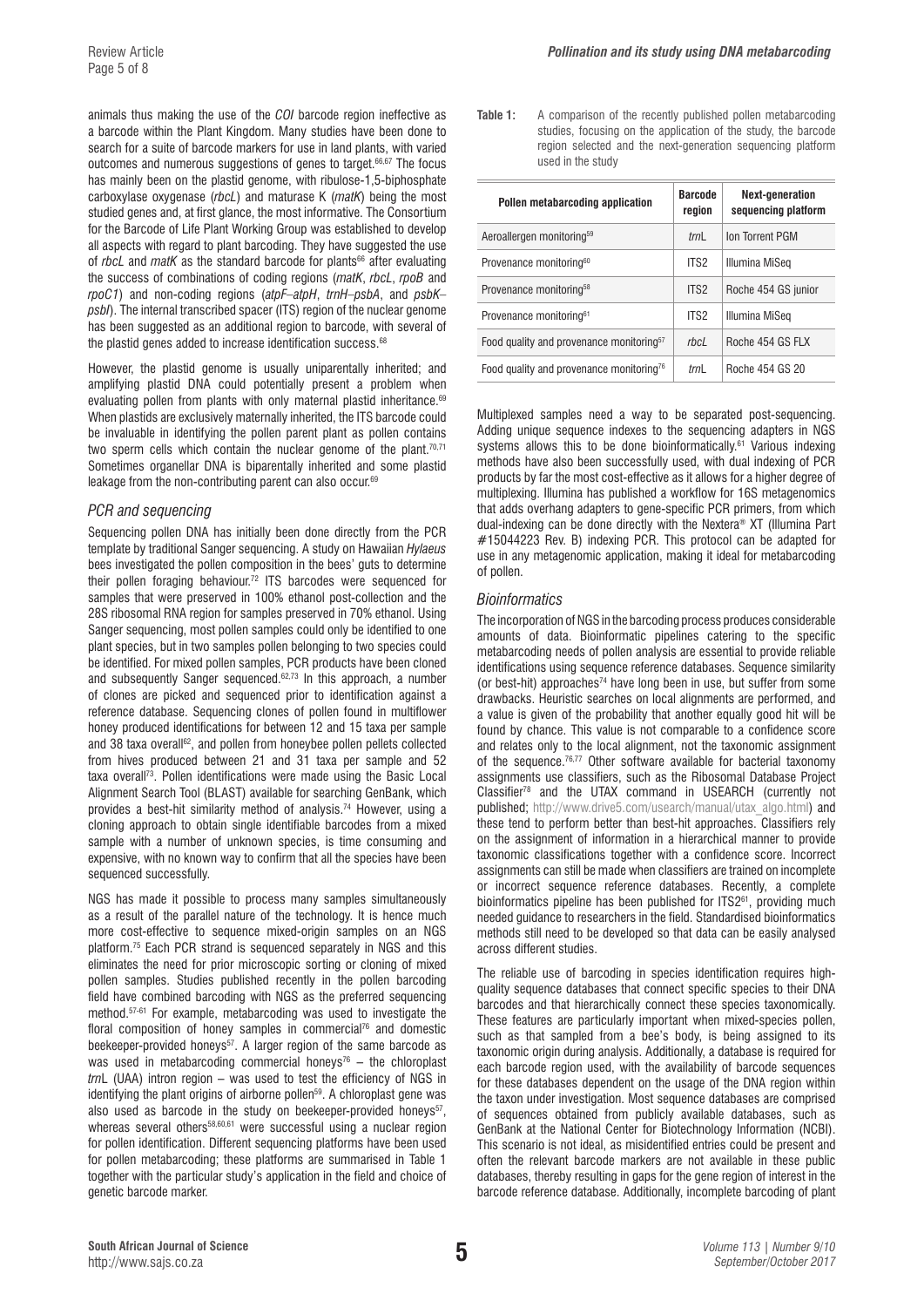animals thus making the use of the *COI* barcode region ineffective as a barcode within the Plant Kingdom. Many studies have been done to search for a suite of barcode markers for use in land plants, with varied outcomes and numerous suggestions of genes to target.66,67 The focus has mainly been on the plastid genome, with ribulose-1,5-biphosphate carboxylase oxygenase (*rbcL*) and maturase K (*matK*) being the most studied genes and, at first glance, the most informative. The Consortium for the Barcode of Life Plant Working Group was established to develop all aspects with regard to plant barcoding. They have suggested the use of *rbcL* and *matK* as the standard barcode for plants<sup>66</sup> after evaluating the success of combinations of coding regions (*matK*, *rbcL*, *rpoB* and *rpoC1*) and non-coding regions (*atpF–atpH*, *trnH–psbA*, and *psbK– psbI*). The internal transcribed spacer (ITS) region of the nuclear genome has been suggested as an additional region to barcode, with several of the plastid genes added to increase identification success.<sup>68</sup>

However, the plastid genome is usually uniparentally inherited; and amplifying plastid DNA could potentially present a problem when evaluating pollen from plants with only maternal plastid inheritance.<sup>69</sup> When plastids are exclusively maternally inherited, the ITS barcode could be invaluable in identifying the pollen parent plant as pollen contains two sperm cells which contain the nuclear genome of the plant.<sup>70,71</sup> Sometimes organellar DNA is biparentally inherited and some plastid leakage from the non-contributing parent can also occur.<sup>69</sup>

#### *PCR and sequencing*

Sequencing pollen DNA has initially been done directly from the PCR template by traditional Sanger sequencing. A study on Hawaiian *Hylaeus* bees investigated the pollen composition in the bees' guts to determine their pollen foraging behaviour.72 ITS barcodes were sequenced for samples that were preserved in 100% ethanol post-collection and the 28S ribosomal RNA region for samples preserved in 70% ethanol. Using Sanger sequencing, most pollen samples could only be identified to one plant species, but in two samples pollen belonging to two species could be identified. For mixed pollen samples, PCR products have been cloned and subsequently Sanger sequenced.<sup>62,73</sup> In this approach, a number of clones are picked and sequenced prior to identification against a reference database. Sequencing clones of pollen found in multiflower honey produced identifications for between 12 and 15 taxa per sample and 38 taxa overall<sup>62</sup>, and pollen from honeybee pollen pellets collected from hives produced between 21 and 31 taxa per sample and 52 taxa overall<sup>73</sup>. Pollen identifications were made using the Basic Local Alignment Search Tool (BLAST) available for searching GenBank, which provides a best-hit similarity method of analysis.74 However, using a cloning approach to obtain single identifiable barcodes from a mixed sample with a number of unknown species, is time consuming and expensive, with no known way to confirm that all the species have been sequenced successfully.

NGS has made it possible to process many samples simultaneously as a result of the parallel nature of the technology. It is hence much more cost-effective to sequence mixed-origin samples on an NGS platform.75 Each PCR strand is sequenced separately in NGS and this eliminates the need for prior microscopic sorting or cloning of mixed pollen samples. Studies published recently in the pollen barcoding field have combined barcoding with NGS as the preferred sequencing method.57-61 For example, metabarcoding was used to investigate the floral composition of honey samples in commercial<sup>76</sup> and domestic beekeeper-provided honeys<sup>57</sup>. A larger region of the same barcode as was used in metabarcoding commercial honeys<sup>76</sup> – the chloroplast *trn*L (UAA) intron region – was used to test the efficiency of NGS in identifying the plant origins of airborne pollen<sup>59</sup>. A chloroplast gene was also used as barcode in the study on beekeeper-provided honeys<sup>57</sup>, whereas several others<sup>58,60,61</sup> were successful using a nuclear region for pollen identification. Different sequencing platforms have been used for pollen metabarcoding; these platforms are summarised in Table 1 together with the particular study's application in the field and choice of genetic barcode marker.

Table 1: A comparison of the recently published pollen metabarcoding studies, focusing on the application of the study, the barcode region selected and the next-generation sequencing platform used in the study

| Pollen metabarcoding application                     | <b>Barcode</b><br>region | <b>Next-generation</b><br>sequencing platform |
|------------------------------------------------------|--------------------------|-----------------------------------------------|
| Aeroallergen monitoring <sup>59</sup>                | $trn$ L                  | <b>Ion Torrent PGM</b>                        |
| Provenance monitoring <sup>60</sup>                  | ITS2                     | Illumina MiSeg                                |
| Provenance monitoring <sup>58</sup>                  | ITS <sub>2</sub>         | Roche 454 GS junior                           |
| Provenance monitoring <sup>61</sup>                  | ITS2                     | Illumina MiSeg                                |
| Food quality and provenance monitoring <sup>57</sup> | rhcl                     | Roche 454 GS FLX                              |
| Food quality and provenance monitoring <sup>76</sup> | $trn$ L                  | Roche 454 GS 20                               |

Multiplexed samples need a way to be separated post-sequencing. Adding unique sequence indexes to the sequencing adapters in NGS systems allows this to be done bioinformatically.<sup>61</sup> Various indexing methods have also been successfully used, with dual indexing of PCR products by far the most cost-effective as it allows for a higher degree of multiplexing. Illumina has published a workflow for 16S metagenomics that adds overhang adapters to gene-specific PCR primers, from which dual-indexing can be done directly with the Nextera® XT (Illumina Part #15044223 Rev. B) indexing PCR. This protocol can be adapted for use in any metagenomic application, making it ideal for metabarcoding of pollen.

#### *Bioinformatics*

The incorporation of NGS in the barcoding process produces considerable amounts of data. Bioinformatic pipelines catering to the specific metabarcoding needs of pollen analysis are essential to provide reliable identifications using sequence reference databases. Sequence similarity (or best-hit) approaches<sup>74</sup> have long been in use, but suffer from some drawbacks. Heuristic searches on local alignments are performed, and a value is given of the probability that another equally good hit will be found by chance. This value is not comparable to a confidence score and relates only to the local alignment, not the taxonomic assignment of the sequence.<sup>76,77</sup> Other software available for bacterial taxonomy assignments use classifiers, such as the Ribosomal Database Project Classifier<sup>78</sup> and the UTAX command in USEARCH (currently not published; [http://www.drive5.com/usearch/manual/utax\\_algo.html](http://www.drive5.com/usearch/manual/utax_algo.html)) and these tend to perform better than best-hit approaches. Classifiers rely on the assignment of information in a hierarchical manner to provide taxonomic classifications together with a confidence score. Incorrect assignments can still be made when classifiers are trained on incomplete or incorrect sequence reference databases. Recently, a complete bioinformatics pipeline has been published for ITS2<sup>61</sup>, providing much needed guidance to researchers in the field. Standardised bioinformatics methods still need to be developed so that data can be easily analysed across different studies.

The reliable use of barcoding in species identification requires highquality sequence databases that connect specific species to their DNA barcodes and that hierarchically connect these species taxonomically. These features are particularly important when mixed-species pollen, such as that sampled from a bee's body, is being assigned to its taxonomic origin during analysis. Additionally, a database is required for each barcode region used, with the availability of barcode sequences for these databases dependent on the usage of the DNA region within the taxon under investigation. Most sequence databases are comprised of sequences obtained from publicly available databases, such as GenBank at the National Center for Biotechnology Information (NCBI). This scenario is not ideal, as misidentified entries could be present and often the relevant barcode markers are not available in these public databases, thereby resulting in gaps for the gene region of interest in the barcode reference database. Additionally, incomplete barcoding of plant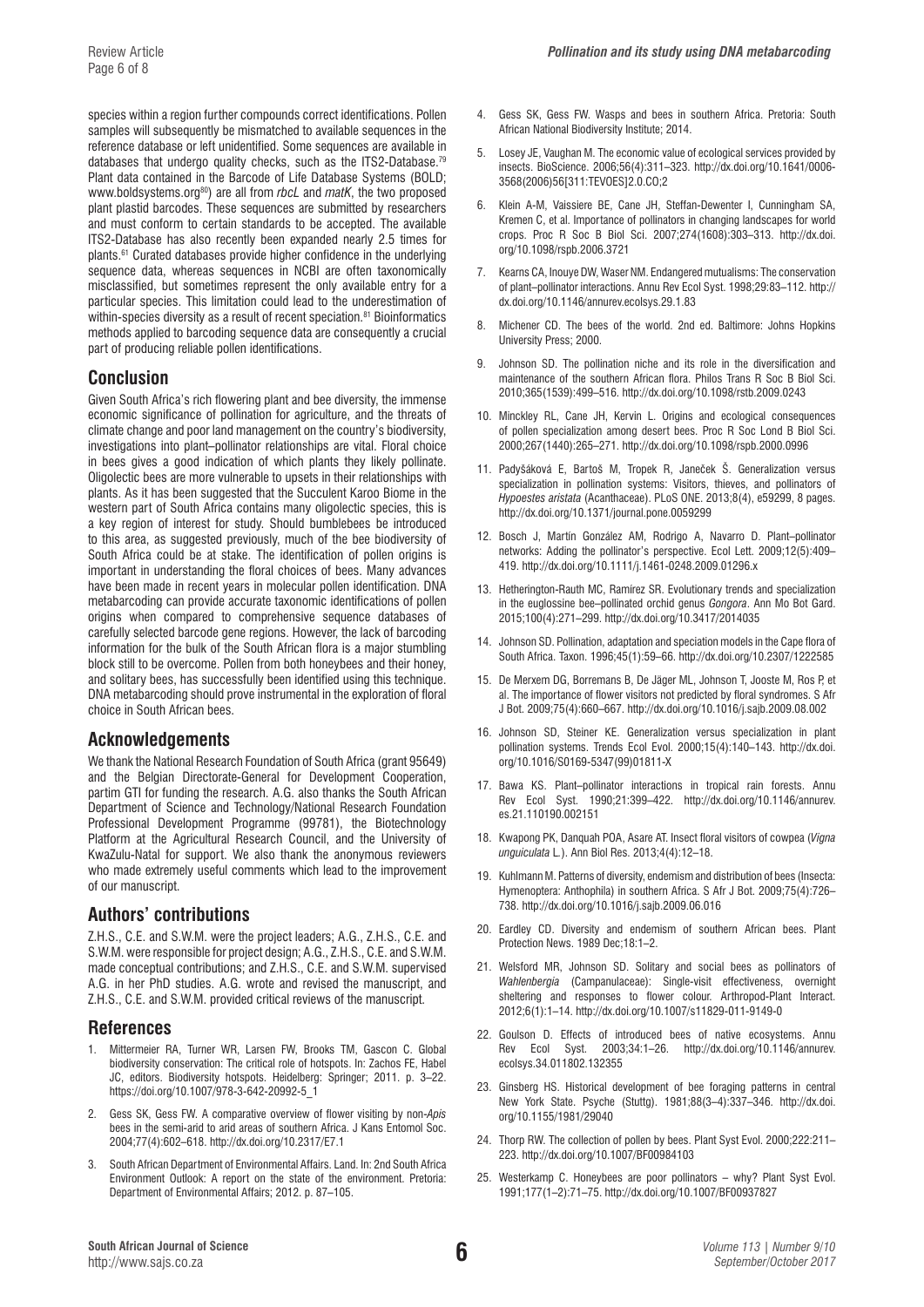species within a region further compounds correct identifications. Pollen samples will subsequently be mismatched to available sequences in the reference database or left unidentified. Some sequences are available in databases that undergo quality checks, such as the ITS2-Database.79 Plant data contained in the Barcode of Life Database Systems (BOLD; [www.boldsystems.org](http://www.boldsystems.org)<sup>80</sup>) are all from *rbcL* and *matK*, the two proposed plant plastid barcodes. These sequences are submitted by researchers and must conform to certain standards to be accepted. The available ITS2-Database has also recently been expanded nearly 2.5 times for plants.61 Curated databases provide higher confidence in the underlying sequence data, whereas sequences in NCBI are often taxonomically misclassified, but sometimes represent the only available entry for a particular species. This limitation could lead to the underestimation of within-species diversity as a result of recent speciation.<sup>81</sup> Bioinformatics methods applied to barcoding sequence data are consequently a crucial part of producing reliable pollen identifications.

# **Conclusion**

Given South Africa's rich flowering plant and bee diversity, the immense economic significance of pollination for agriculture, and the threats of climate change and poor land management on the country's biodiversity, investigations into plant–pollinator relationships are vital. Floral choice in bees gives a good indication of which plants they likely pollinate. Oligolectic bees are more vulnerable to upsets in their relationships with plants. As it has been suggested that the Succulent Karoo Biome in the western part of South Africa contains many oligolectic species, this is a key region of interest for study. Should bumblebees be introduced to this area, as suggested previously, much of the bee biodiversity of South Africa could be at stake. The identification of pollen origins is important in understanding the floral choices of bees. Many advances have been made in recent years in molecular pollen identification. DNA metabarcoding can provide accurate taxonomic identifications of pollen origins when compared to comprehensive sequence databases of carefully selected barcode gene regions. However, the lack of barcoding information for the bulk of the South African flora is a major stumbling block still to be overcome. Pollen from both honeybees and their honey, and solitary bees, has successfully been identified using this technique. DNA metabarcoding should prove instrumental in the exploration of floral choice in South African bees.

# **Acknowledgements**

We thank the National Research Foundation of South Africa (grant 95649) and the Belgian Directorate-General for Development Cooperation, partim GTI for funding the research. A.G. also thanks the South African Department of Science and Technology/National Research Foundation Professional Development Programme (99781), the Biotechnology Platform at the Agricultural Research Council, and the University of KwaZulu-Natal for support. We also thank the anonymous reviewers who made extremely useful comments which lead to the improvement of our manuscript.

# **Authors' contributions**

Z.H.S., C.E. and S.W.M. were the project leaders; A.G., Z.H.S., C.E. and S.W.M. were responsible for project design; A.G., Z.H.S., C.E. and S.W.M. made conceptual contributions; and Z.H.S., C.E. and S.W.M. supervised A.G. in her PhD studies. A.G. wrote and revised the manuscript, and Z.H.S., C.E. and S.W.M. provided critical reviews of the manuscript.

# **References**

- 1. Mittermeier RA, Turner WR, Larsen FW, Brooks TM, Gascon C. Global biodiversity conservation: The critical role of hotspots. In: Zachos FE, Habel JC, editors. Biodiversity hotspots. Heidelberg: Springer; 2011. p. 3–22. [https://doi.org/10.1007/978-3-642-20992-5\\_1](https://doi.org/10.1007/978-3-642-20992-5_1)
- 2. Gess SK, Gess FW. A comparative overview of flower visiting by non-*Apis* bees in the semi-arid to arid areas of southern Africa. J Kans Entomol Soc. 2004;77(4):602–618.<http://dx.doi.org/10.2317/E7.1>
- 3. South African Department of Environmental Affairs. Land. In: 2nd South Africa Environment Outlook: A report on the state of the environment. Pretoria: Department of Environmental Affairs; 2012. p. 87–105.
- 4. Gess SK, Gess FW. Wasps and bees in southern Africa. Pretoria: South African National Biodiversity Institute; 2014.
- 5. Losey JE, Vaughan M. The economic value of ecological services provided by insects. BioScience. 2006;56(4):311–323. [http://dx.doi.org/10.1641/0006-](http://dx.doi.org/10.1641/0006-3568(2006)56[311:TEVOES]2.0.CO;2) [3568\(2006\)56\[311:TEVOES\]2.0.CO;2](http://dx.doi.org/10.1641/0006-3568(2006)56[311:TEVOES]2.0.CO;2)
- 6. Klein A-M, Vaissiere BE, Cane JH, Steffan-Dewenter I, Cunningham SA, Kremen C, et al. Importance of pollinators in changing landscapes for world crops. Proc R Soc B Biol Sci. 2007;274(1608):303–313. [http://dx.doi.](http://dx.doi.org/10.1098/rspb.2006.3721) [org/10.1098/rspb.2006.3721](http://dx.doi.org/10.1098/rspb.2006.3721)
- 7. Kearns CA, Inouye DW, Waser NM. Endangered mutualisms: The conservation of plant–pollinator interactions. Annu Rev Ecol Syst. 1998;29:83–112. [http://](http://dx.doi.org/10.1146/annurev.ecolsys.29.1.83) [dx.doi.org/10.1146/annurev.ecolsys.29.1.83](http://dx.doi.org/10.1146/annurev.ecolsys.29.1.83)
- 8. Michener CD. The bees of the world. 2nd ed. Baltimore: Johns Hopkins University Press; 2000.
- 9. Johnson SD. The pollination niche and its role in the diversification and maintenance of the southern African flora. Philos Trans R Soc B Biol Sci. 2010;365(1539):499–516.<http://dx.doi.org/10.1098/rstb.2009.0243>
- 10. Minckley RL, Cane JH, Kervin L. Origins and ecological consequences of pollen specialization among desert bees. Proc R Soc Lond B Biol Sci. 2000;267(1440):265–271.<http://dx.doi.org/10.1098/rspb.2000.0996>
- 11. Padyšáková E, Bartoš M, Tropek R, Janeček Š. Generalization versus specialization in pollination systems: Visitors, thieves, and pollinators of *Hypoestes aristata* (Acanthaceae). PLoS ONE. 2013;8(4), e59299, 8 pages. <http://dx.doi.org/10.1371/journal.pone.0059299>
- 12. Bosch J, Martín González AM, Rodrigo A, Navarro D. Plant–pollinator networks: Adding the pollinator's perspective. Ecol Lett. 2009;12(5):409– 419. <http://dx.doi.org/10.1111/j.1461-0248.2009.01296.x>
- 13. Hetherington-Rauth MC, Ramírez SR. Evolutionary trends and specialization in the euglossine bee–pollinated orchid genus *Gongora*. Ann Mo Bot Gard. 2015;100(4):271–299. <http://dx.doi.org/10.3417/2014035>
- 14. Johnson SD. Pollination, adaptation and speciation models in the Cape flora of South Africa. Taxon. 1996;45(1):59–66. <http://dx.doi.org/10.2307/1222585>
- 15. De Merxem DG, Borremans B, De Jäger ML, Johnson T, Jooste M, Ros P, et al. The importance of flower visitors not predicted by floral syndromes. S Afr J Bot. 2009;75(4):660–667.<http://dx.doi.org/10.1016/j.sajb.2009.08.002>
- 16. Johnson SD, Steiner KE. Generalization versus specialization in plant pollination systems. Trends Ecol Evol. 2000;15(4):140–143. [http://dx.doi.](http://dx.doi.org/10.1016/S0169-5347(99)01811-X) [org/10.1016/S0169-5347\(99\)01811-X](http://dx.doi.org/10.1016/S0169-5347(99)01811-X)
- 17. Bawa KS. Plant–pollinator interactions in tropical rain forests. Annu Rev Ecol Syst. 1990;21:399–422. [http://dx.doi.org/10.1146/annurev.](http://dx.doi.org/10.1146/annurev.es.21.110190.002151) [es.21.110190.002151](http://dx.doi.org/10.1146/annurev.es.21.110190.002151)
- 18. Kwapong PK, Danquah POA, Asare AT. Insect floral visitors of cowpea (*Vigna unguiculata* L*.*). Ann Biol Res. 2013;4(4):12–18.
- 19. Kuhlmann M. Patterns of diversity, endemism and distribution of bees (Insecta: Hymenoptera: Anthophila) in southern Africa. S Afr J Bot. 2009;75(4):726– 738. <http://dx.doi.org/10.1016/j.sajb.2009.06.016>
- 20. Eardley CD. Diversity and endemism of southern African bees. Plant Protection News. 1989 Dec;18:1–2.
- 21. Welsford MR, Johnson SD. Solitary and social bees as pollinators of *Wahlenbergia* (Campanulaceae): Single-visit effectiveness, overnight sheltering and responses to flower colour. Arthropod-Plant Interact. 2012;6(1):1–14.<http://dx.doi.org/10.1007/s11829-011-9149-0>
- 22. Goulson D. Effects of introduced bees of native ecosystems. Annu Rev Ecol Syst. 2003;34:1–26. [http://dx.doi.org/10.1146/annurev.](http://dx.doi.org/10.1146/annurev.ecolsys.34.011802.132355) [ecolsys.34.011802.132355](http://dx.doi.org/10.1146/annurev.ecolsys.34.011802.132355)
- 23. Ginsberg HS. Historical development of bee foraging patterns in central New York State. Psyche (Stuttg). 1981;88(3–4):337–346. [http://dx.doi.](http://dx.doi.org/10.1155/1981/29040) [org/10.1155/1981/29040](http://dx.doi.org/10.1155/1981/29040)
- 24. Thorp RW. The collection of pollen by bees. Plant Syst Evol. 2000;222:211– 223. <http://dx.doi.org/10.1007/BF00984103>
- 25. Westerkamp C. Honeybees are poor pollinators why? Plant Syst Evol. 1991;177(1–2):71–75. <http://dx.doi.org/10.1007/BF00937827>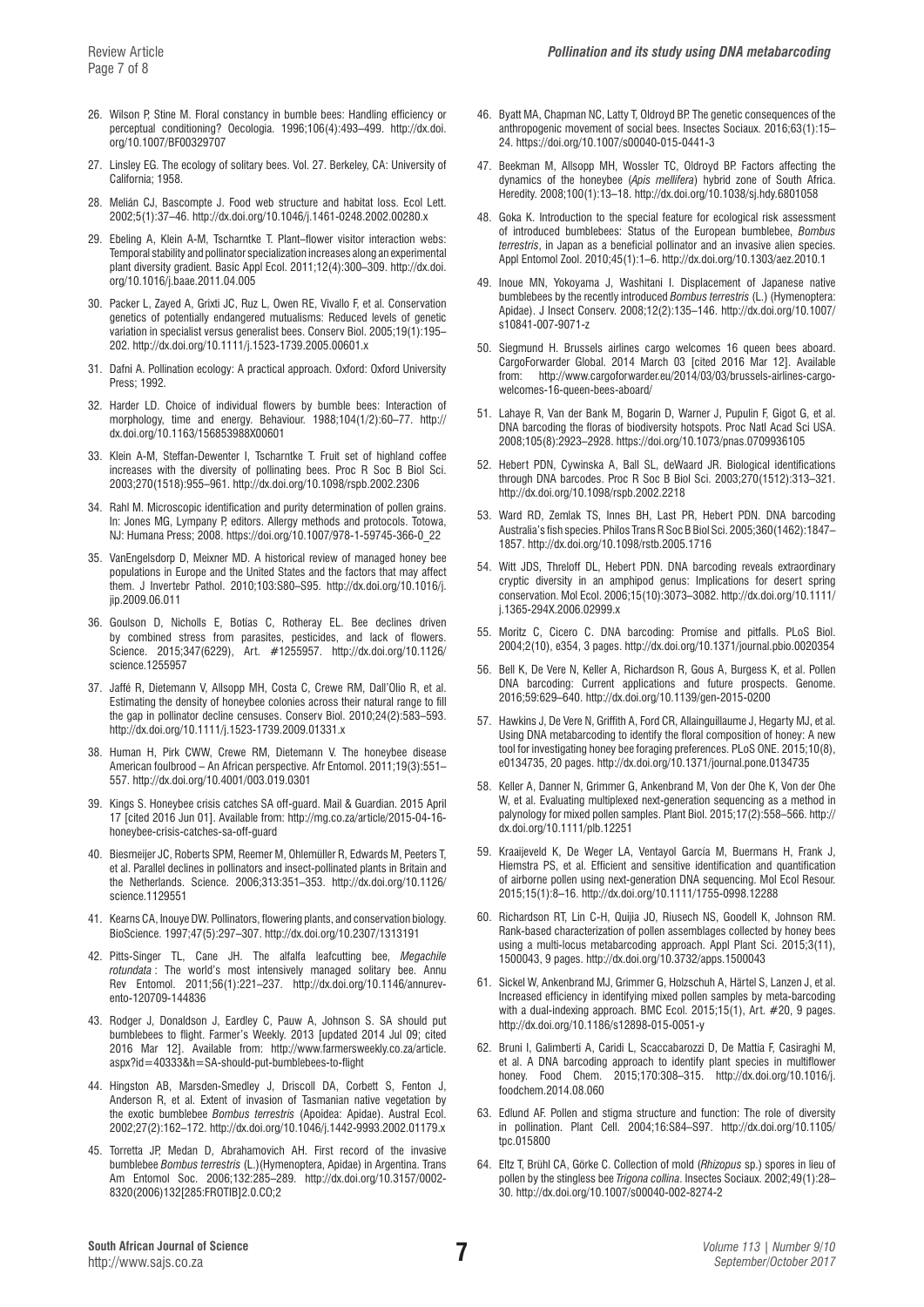- 26. Wilson P, Stine M. Floral constancy in bumble bees: Handling efficiency or perceptual conditioning? Oecologia. 1996;106(4):493–499. [http://dx.doi.](http://dx.doi.org/10.1007/BF00329707) [org/10.1007/BF00329707](http://dx.doi.org/10.1007/BF00329707)
- 27. Linsley EG. The ecology of solitary bees. Vol. 27. Berkeley, CA: University of California; 1958.
- 28. Melián CJ, Bascompte J. Food web structure and habitat loss. Fool Lett. 2002;5(1):37–46.<http://dx.doi.org/10.1046/j.1461-0248.2002.00280.x>
- 29. Ebeling A, Klein A-M, Tscharntke T. Plant–flower visitor interaction webs: Temporal stability and pollinator specialization increases along an experimental plant diversity gradient. Basic Appl Ecol. 2011;12(4):300–309. [http://dx.doi.](http://dx.doi.org/10.1016/j.baae.2011.04.005) [org/10.1016/j.baae.2011.04.005](http://dx.doi.org/10.1016/j.baae.2011.04.005)
- 30. Packer L, Zayed A, Grixti JC, Ruz L, Owen RE, Vivallo F, et al. Conservation genetics of potentially endangered mutualisms: Reduced levels of genetic variation in specialist versus generalist bees. Conserv Biol. 2005;19(1):195– 202. <http://dx.doi.org/10.1111/j.1523-1739.2005.00601.x>
- 31. Dafni A. Pollination ecology: A practical approach. Oxford: Oxford University Press; 1992.
- 32. Harder LD. Choice of individual flowers by bumble bees: Interaction of morphology, time and energy. Behaviour. 1988;104(1/2):60–77. [http://](http://dx.doi.org/10.1163/156853988X00601) [dx.doi.org/10.1163/156853988X00601](http://dx.doi.org/10.1163/156853988X00601)
- 33. Klein A-M, Steffan-Dewenter I, Tscharntke T. Fruit set of highland coffee increases with the diversity of pollinating bees. Proc R Soc B Biol Sci. 2003;270(1518):955–961.<http://dx.doi.org/10.1098/rspb.2002.2306>
- 34. Rahl M. Microscopic identification and purity determination of pollen grains. In: Jones MG, Lympany P, editors. Allergy methods and protocols. Totowa, NJ: Humana Press; 2008. [https://doi.org/10.1007/978-1-59745-366-0\\_22](https://doi.org/10.1007/978-1-59745-366-0_22)
- 35. VanEngelsdorp D, Meixner MD. A historical review of managed honey bee populations in Europe and the United States and the factors that may affect them. J Invertebr Pathol. 2010;103:S80–S95. [http://dx.doi.org/10.1016/j.](http://dx.doi.org/10.1016/j.jip.2009.06.011) [jip.2009.06.011](http://dx.doi.org/10.1016/j.jip.2009.06.011)
- 36. Goulson D, Nicholls E, Botías C, Rotheray EL. Bee declines driven by combined stress from parasites, pesticides, and lack of flowers. Science. 2015;347(6229), Art. #1255957. [http://dx.doi.org/10.1126/](http://dx.doi.org/10.1126/science.1255957) [science.1255957](http://dx.doi.org/10.1126/science.1255957)
- 37. Jaffé R, Dietemann V, Allsopp MH, Costa C, Crewe RM, Dall'Olio R, et al. Estimating the density of honeybee colonies across their natural range to fill the gap in pollinator decline censuses. Conserv Biol. 2010;24(2):583–593. <http://dx.doi.org/10.1111/j.1523-1739.2009.01331.x>
- 38. Human H, Pirk CWW, Crewe RM, Dietemann V. The honeybee disease American foulbrood – An African perspective. Afr Entomol. 2011;19(3):551– 557. <http://dx.doi.org/10.4001/003.019.0301>
- 39. Kings S. Honeybee crisis catches SA off-guard. Mail & Guardian. 2015 April 17 [cited 2016 Jun 01]. Available from: [http://mg.co.za/article/2015-04-16](http://mg.co.za/article/2015-04-16-honeybee-crisis-catches-sa-off-guard) [honeybee-crisis-catches-sa-off-guard](http://mg.co.za/article/2015-04-16-honeybee-crisis-catches-sa-off-guard)
- 40. Biesmeijer JC, Roberts SPM, Reemer M, Ohlemüller R, Edwards M, Peeters T, et al. Parallel declines in pollinators and insect-pollinated plants in Britain and the Netherlands. Science. 2006;313:351–353. [http://dx.doi.org/10.1126/](http://dx.doi.org/10.1126/science.1129551) [science.1129551](http://dx.doi.org/10.1126/science.1129551)
- 41. Kearns CA, Inouye DW. Pollinators, flowering plants, and conservation biology. BioScience. 1997;47(5):297–307. <http://dx.doi.org/10.2307/1313191>
- 42. Pitts-Singer TL, Cane JH. The alfalfa leafcutting bee, *Megachile rotundata* : The world's most intensively managed solitary bee. Annu Rev Entomol. 2011;56(1):221–237. [http://dx.doi.org/10.1146/annurev](http://dx.doi.org/10.1146/annurev-ento-120709-144836)[ento-120709-144836](http://dx.doi.org/10.1146/annurev-ento-120709-144836)
- 43. Rodger J, Donaldson J, Eardley C, Pauw A, Johnson S. SA should put bumblebees to flight. Farmer's Weekly. 2013 [updated 2014 Jul 09; cited 2016 Mar 12]. Available from: [http://www.farmersweekly.co.za/article.](http://www.farmersweekly.co.za/article.aspx?id=40333&h=SA-should-put-bumblebees-to-flight) [aspx?id=40333&h=SA-should-put-bumblebees-to-flight](http://www.farmersweekly.co.za/article.aspx?id=40333&h=SA-should-put-bumblebees-to-flight)
- 44. Hingston AB, Marsden-Smedley J, Driscoll DA, Corbett S, Fenton J, Anderson R, et al. Extent of invasion of Tasmanian native vegetation by the exotic bumblebee *Bombus terrestris* (Apoidea: Apidae). Austral Ecol. 2002;27(2):162–172.<http://dx.doi.org/10.1046/j.1442-9993.2002.01179.x>
- 45. Torretta JP, Medan D, Abrahamovich AH. First record of the invasive bumblebee *Bombus terrestris* (L.)(Hymenoptera, Apidae) in Argentina. Trans Am Entomol Soc. 2006;132:285–289. [http://dx.doi.org/10.3157/0002-](http://dx.doi.org/10.3157/0002-8320(2006)132[285:FROTIB]2.0.CO;2) [8320\(2006\)132\[285:FROTIB\]2.0.CO;2](http://dx.doi.org/10.3157/0002-8320(2006)132[285:FROTIB]2.0.CO;2)
- 46. Byatt MA, Chapman NC, Latty T, Oldroyd BP. The genetic consequences of the anthropogenic movement of social bees. Insectes Sociaux. 2016;63(1):15– 24. <https://doi.org/10.1007/s00040-015-0441-3>
- 47. Beekman M, Allsopp MH, Wossler TC, Oldroyd BP. Factors affecting the dynamics of the honeybee (*Apis mellifera*) hybrid zone of South Africa. Heredity. 2008;100(1):13–18.<http://dx.doi.org/10.1038/sj.hdy.6801058>
- 48. Goka K. Introduction to the special feature for ecological risk assessment of introduced bumblebees: Status of the European bumblebee, *Bombus terrestris*, in Japan as a beneficial pollinator and an invasive alien species. Appl Entomol Zool. 2010;45(1):1–6. <http://dx.doi.org/10.1303/aez.2010.1>
- 49. Inoue MN, Yokoyama J, Washitani I. Displacement of Japanese native bumblebees by the recently introduced *Bombus terrestris* (L.) (Hymenoptera: Apidae). J Insect Conserv. 2008;12(2):135–146. [http://dx.doi.org/10.1007/](http://dx.doi.org/10.1007/s10841-007-9071-z) [s10841-007-9071-z](http://dx.doi.org/10.1007/s10841-007-9071-z)
- 50. Siegmund H. Brussels airlines cargo welcomes 16 queen bees aboard. CargoForwarder Global. 2014 March 03 [cited 2016 Mar 12]. Available from: [http://www.cargoforwarder.eu/2014/03/03/brussels-airlines-cargo](http://www.cargoforwarder.eu/2014/03/03/brussels-airlines-cargo-welcomes-16-queen-bees-aboard/)[welcomes-16-queen-bees-aboard/](http://www.cargoforwarder.eu/2014/03/03/brussels-airlines-cargo-welcomes-16-queen-bees-aboard/)
- 51. Lahaye R, Van der Bank M, Bogarin D, Warner J, Pupulin F, Gigot G, et al. DNA barcoding the floras of biodiversity hotspots. Proc Natl Acad Sci USA. 2008;105(8):2923–2928.<https://doi.org/10.1073/pnas.0709936105>
- 52. Hebert PDN, Cywinska A, Ball SL, deWaard JR. Biological identifications through DNA barcodes. Proc R Soc B Biol Sci. 2003;270(1512):313–321. <http://dx.doi.org/10.1098/rspb.2002.2218>
- 53. Ward RD, Zemlak TS, Innes BH, Last PR, Hebert PDN. DNA barcoding Australia's fish species. Philos Trans R Soc B Biol Sci. 2005;360(1462):1847– 1857.<http://dx.doi.org/10.1098/rstb.2005.1716>
- 54. Witt JDS, Threloff DL, Hebert PDN. DNA barcoding reveals extraordinary cryptic diversity in an amphipod genus: Implications for desert spring conservation. Mol Ecol. 2006;15(10):3073–3082. [http://dx.doi.org/10.1111/](http://dx.doi.org/10.1111/j.1365-294X.2006.02999.x) [j.1365-294X.2006.02999.x](http://dx.doi.org/10.1111/j.1365-294X.2006.02999.x)
- 55. Moritz C, Cicero C. DNA barcoding: Promise and pitfalls. PLoS Biol. 2004;2(10), e354, 3 pages. <http://dx.doi.org/10.1371/journal.pbio.0020354>
- 56. Bell K, De Vere N, Keller A, Richardson R, Gous A, Burgess K, et al. Pollen DNA barcoding: Current applications and future prospects. Genome. 2016;59:629–640. <http://dx.doi.org/10.1139/gen-2015-0200>
- 57. Hawkins J, De Vere N, Griffith A, Ford CR, Allainguillaume J, Hegarty MJ, et al. Using DNA metabarcoding to identify the floral composition of honey: A new tool for investigating honey bee foraging preferences. PLoS ONE. 2015;10(8), e0134735, 20 pages. <http://dx.doi.org/10.1371/journal.pone.0134735>
- 58. Keller A, Danner N, Grimmer G, Ankenbrand M, Von der Ohe K, Von der Ohe W, et al. Evaluating multiplexed next-generation sequencing as a method in palynology for mixed pollen samples. Plant Biol. 2015;17(2):558–566. [http://](http://dx.doi.org/10.1111/plb.12251) [dx.doi.org/10.1111/plb.12251](http://dx.doi.org/10.1111/plb.12251)
- 59. Kraaijeveld K, De Weger LA, Ventayol García M, Buermans H, Frank J, Hiemstra PS, et al. Efficient and sensitive identification and quantification of airborne pollen using next-generation DNA sequencing. Mol Ecol Resour. 2015;15(1):8–16. <http://dx.doi.org/10.1111/1755-0998.12288>
- 60. Richardson RT, Lin C-H, Quijia JO, Riusech NS, Goodell K, Johnson RM. Rank-based characterization of pollen assemblages collected by honey bees using a multi-locus metabarcoding approach. Appl Plant Sci. 2015;3(11), 1500043, 9 pages. <http://dx.doi.org/10.3732/apps.1500043>
- 61. Sickel W, Ankenbrand MJ, Grimmer G, Holzschuh A, Härtel S, Lanzen J, et al. Increased efficiency in identifying mixed pollen samples by meta-barcoding with a dual-indexing approach. BMC Ecol. 2015;15(1), Art. #20, 9 pages. <http://dx.doi.org/10.1186/s12898-015-0051-y>
- 62. Bruni I, Galimberti A, Caridi L, Scaccabarozzi D, De Mattia F, Casiraghi M, et al. A DNA barcoding approach to identify plant species in multiflower honey. Food Chem. 2015;170:308–315. [http://dx.doi.org/10.1016/j.](http://dx.doi.org/10.1016/j.foodchem.2014.08.060) [foodchem.2014.08.060](http://dx.doi.org/10.1016/j.foodchem.2014.08.060)
- 63. Edlund AF. Pollen and stigma structure and function: The role of diversity in pollination. Plant Cell. 2004;16:S84–S97. [http://dx.doi.org/10.1105/](http://dx.doi.org/10.1105/tpc.015800) [tpc.015800](http://dx.doi.org/10.1105/tpc.015800)
- 64. Eltz T, Brühl CA, Görke C. Collection of mold (*Rhizopus* sp.) spores in lieu of pollen by the stingless bee *Trigona collina*. Insectes Sociaux. 2002;49(1):28– 30. <http://dx.doi.org/10.1007/s00040-002-8274-2>